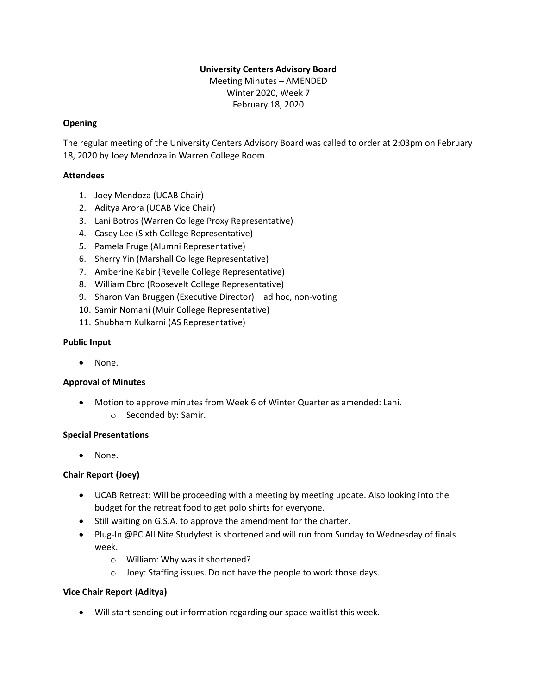# **University Centers Advisory Board**

Meeting Minutes – AMENDED Winter 2020, Week 7 February 18, 2020

### **Opening**

The regular meeting of the University Centers Advisory Board was called to order at 2:03pm on February 18, 2020 by Joey Mendoza in Warren College Room.

## **Attendees**

- 1. Joey Mendoza (UCAB Chair)
- 2. Aditya Arora (UCAB Vice Chair)
- 3. Lani Botros (Warren College Proxy Representative)
- 4. Casey Lee (Sixth College Representative)
- 5. Pamela Fruge (Alumni Representative)
- 6. Sherry Yin (Marshall College Representative)
- 7. Amberine Kabir (Revelle College Representative)
- 8. William Ebro (Roosevelt College Representative)
- 9. Sharon Van Bruggen (Executive Director) ad hoc, non-voting
- 10. Samir Nomani (Muir College Representative)
- 11. Shubham Kulkarni (AS Representative)

### **Public Input**

• None.

# **Approval of Minutes**

- Motion to approve minutes from Week 6 of Winter Quarter as amended: Lani.
	- o Seconded by: Samir.

### **Special Presentations**

• None.

# **Chair Report (Joey)**

- UCAB Retreat: Will be proceeding with a meeting by meeting update. Also looking into the budget for the retreat food to get polo shirts for everyone.
- Still waiting on G.S.A. to approve the amendment for the charter.
- Plug-In @PC All Nite Studyfest is shortened and will run from Sunday to Wednesday of finals week.
	- o William: Why was it shortened?
	- o Joey: Staffing issues. Do not have the people to work those days.

# **Vice Chair Report (Aditya)**

• Will start sending out information regarding our space waitlist this week.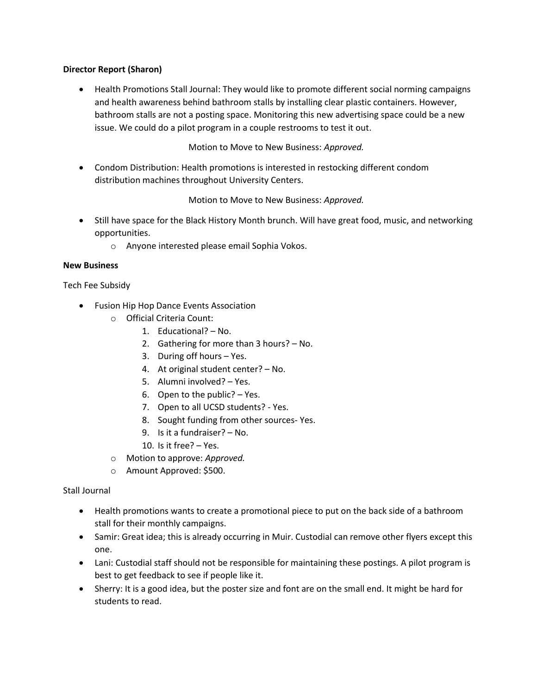## **Director Report (Sharon)**

• Health Promotions Stall Journal: They would like to promote different social norming campaigns and health awareness behind bathroom stalls by installing clear plastic containers. However, bathroom stalls are not a posting space. Monitoring this new advertising space could be a new issue. We could do a pilot program in a couple restrooms to test it out.

Motion to Move to New Business: *Approved.*

• Condom Distribution: Health promotions is interested in restocking different condom distribution machines throughout University Centers.

Motion to Move to New Business: *Approved.*

- Still have space for the Black History Month brunch. Will have great food, music, and networking opportunities.
	- o Anyone interested please email Sophia Vokos.

## **New Business**

Tech Fee Subsidy

- Fusion Hip Hop Dance Events Association
	- o Official Criteria Count:
		- 1. Educational? No.
		- 2. Gathering for more than 3 hours? No.
		- 3. During off hours Yes.
		- 4. At original student center? No.
		- 5. Alumni involved? Yes.
		- 6. Open to the public? Yes.
		- 7. Open to all UCSD students? Yes.
		- 8. Sought funding from other sources- Yes.
		- 9. Is it a fundraiser? No.
		- 10. Is it free? Yes.
	- o Motion to approve: *Approved.*
	- o Amount Approved: \$500.

# Stall Journal

- Health promotions wants to create a promotional piece to put on the back side of a bathroom stall for their monthly campaigns.
- Samir: Great idea; this is already occurring in Muir. Custodial can remove other flyers except this one.
- Lani: Custodial staff should not be responsible for maintaining these postings. A pilot program is best to get feedback to see if people like it.
- Sherry: It is a good idea, but the poster size and font are on the small end. It might be hard for students to read.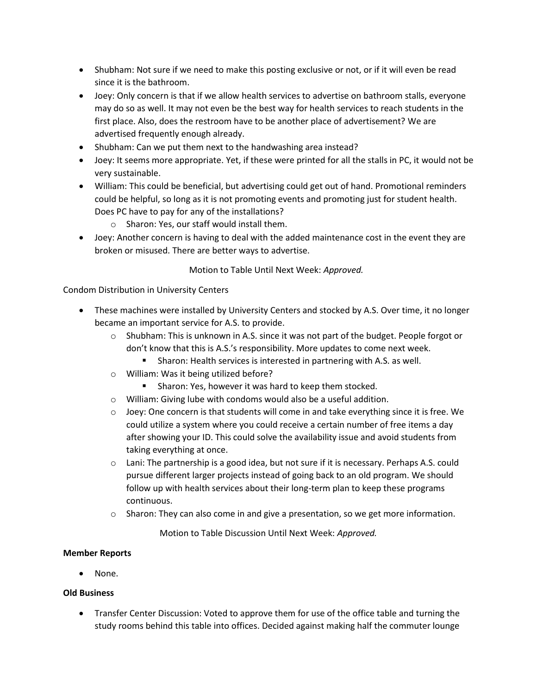- Shubham: Not sure if we need to make this posting exclusive or not, or if it will even be read since it is the bathroom.
- Joey: Only concern is that if we allow health services to advertise on bathroom stalls, everyone may do so as well. It may not even be the best way for health services to reach students in the first place. Also, does the restroom have to be another place of advertisement? We are advertised frequently enough already.
- Shubham: Can we put them next to the handwashing area instead?
- Joey: It seems more appropriate. Yet, if these were printed for all the stalls in PC, it would not be very sustainable.
- William: This could be beneficial, but advertising could get out of hand. Promotional reminders could be helpful, so long as it is not promoting events and promoting just for student health. Does PC have to pay for any of the installations?
	- o Sharon: Yes, our staff would install them.
- Joey: Another concern is having to deal with the added maintenance cost in the event they are broken or misused. There are better ways to advertise.

## Motion to Table Until Next Week: *Approved.*

## Condom Distribution in University Centers

- These machines were installed by University Centers and stocked by A.S. Over time, it no longer became an important service for A.S. to provide.
	- $\circ$  Shubham: This is unknown in A.S. since it was not part of the budget. People forgot or don't know that this is A.S.'s responsibility. More updates to come next week.
		- Sharon: Health services is interested in partnering with A.S. as well.
	- o William: Was it being utilized before?
		- Sharon: Yes, however it was hard to keep them stocked.
	- o William: Giving lube with condoms would also be a useful addition.
	- $\circ$  Joey: One concern is that students will come in and take everything since it is free. We could utilize a system where you could receive a certain number of free items a day after showing your ID. This could solve the availability issue and avoid students from taking everything at once.
	- o Lani: The partnership is a good idea, but not sure if it is necessary. Perhaps A.S. could pursue different larger projects instead of going back to an old program. We should follow up with health services about their long-term plan to keep these programs continuous.
	- $\circ$  Sharon: They can also come in and give a presentation, so we get more information.

Motion to Table Discussion Until Next Week: *Approved.*

### **Member Reports**

• None.

### **Old Business**

• Transfer Center Discussion: Voted to approve them for use of the office table and turning the study rooms behind this table into offices. Decided against making half the commuter lounge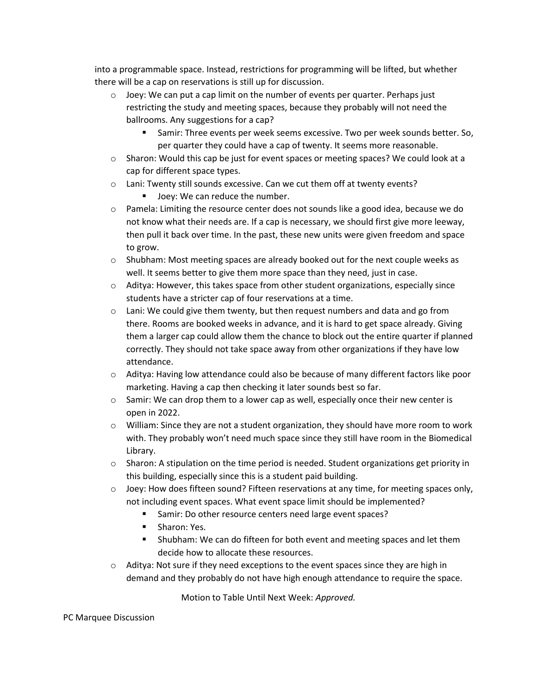into a programmable space. Instead, restrictions for programming will be lifted, but whether there will be a cap on reservations is still up for discussion.

- $\circ$  Joey: We can put a cap limit on the number of events per quarter. Perhaps just restricting the study and meeting spaces, because they probably will not need the ballrooms. Any suggestions for a cap?
	- Samir: Three events per week seems excessive. Two per week sounds better. So, per quarter they could have a cap of twenty. It seems more reasonable.
- o Sharon: Would this cap be just for event spaces or meeting spaces? We could look at a cap for different space types.
- o Lani: Twenty still sounds excessive. Can we cut them off at twenty events?
	- Joey: We can reduce the number.
- $\circ$  Pamela: Limiting the resource center does not sounds like a good idea, because we do not know what their needs are. If a cap is necessary, we should first give more leeway, then pull it back over time. In the past, these new units were given freedom and space to grow.
- $\circ$  Shubham: Most meeting spaces are already booked out for the next couple weeks as well. It seems better to give them more space than they need, just in case.
- $\circ$  Aditya: However, this takes space from other student organizations, especially since students have a stricter cap of four reservations at a time.
- $\circ$  Lani: We could give them twenty, but then request numbers and data and go from there. Rooms are booked weeks in advance, and it is hard to get space already. Giving them a larger cap could allow them the chance to block out the entire quarter if planned correctly. They should not take space away from other organizations if they have low attendance.
- o Aditya: Having low attendance could also be because of many different factors like poor marketing. Having a cap then checking it later sounds best so far.
- $\circ$  Samir: We can drop them to a lower cap as well, especially once their new center is open in 2022.
- $\circ$  William: Since they are not a student organization, they should have more room to work with. They probably won't need much space since they still have room in the Biomedical Library.
- $\circ$  Sharon: A stipulation on the time period is needed. Student organizations get priority in this building, especially since this is a student paid building.
- $\circ$  Joey: How does fifteen sound? Fifteen reservations at any time, for meeting spaces only, not including event spaces. What event space limit should be implemented?
	- Samir: Do other resource centers need large event spaces?
	- Sharon: Yes.
	- Shubham: We can do fifteen for both event and meeting spaces and let them decide how to allocate these resources.
- $\circ$  Aditya: Not sure if they need exceptions to the event spaces since they are high in demand and they probably do not have high enough attendance to require the space.

Motion to Table Until Next Week: *Approved.*

### PC Marquee Discussion